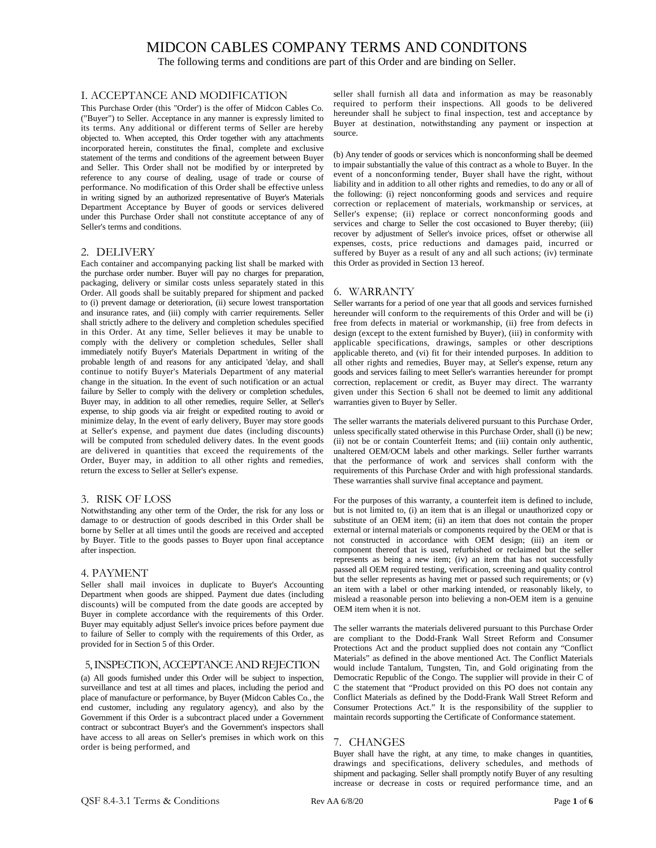The following terms and conditions are part of this Order and are binding on Seller.

#### I. ACCEPTANCE AND MODIFICATION

This Purchase Order (this "Order') is the offer of Midcon Cables Co. ("Buyer") to Seller. Acceptance in any manner is expressly limited to its terms. Any additional or different terms of Seller are hereby objected to. When accepted, this Order together with any attachments incorporated herein, constitutes the final, complete and exclusive statement of the terms and conditions of the agreement between Buyer and Seller. This Order shall not be modified by or interpreted by reference to any course of dealing, usage of trade or course of performance. No modification of this Order shall be effective unless in writing signed by an authorized representative of Buyer's Materials Department Acceptance by Buyer of goods or services delivered under this Purchase Order shall not constitute acceptance of any of Seller's terms and conditions.

#### 2. DELIVERY

Each container and accompanying packing list shall be marked with the purchase order number. Buyer will pay no charges for preparation, packaging, delivery or similar costs unless separately stated in this Order. All goods shall be suitably prepared for shipment and packed to (i) prevent damage or deterioration, (ii) secure lowest transportation and insurance rates, and (iii) comply with carrier requirements. Seller shall strictly adhere to the delivery and completion schedules specified in this Order. At any time, Seller believes it may be unable to comply with the delivery or completion schedules, Seller shall immediately notify Buyer's Materials Department in writing of the probable length of and reasons for any anticipated 'delay, and shall continue to notify Buyer's Materials Department of any material change in the situation. In the event of such notification or an actual failure by Seller to comply with the delivery or completion schedules, Buyer may, in addition to all other remedies, require Seller, at Seller's expense, to ship goods via air freight or expedited routing to avoid or minimize delay, In the event of early delivery, Buyer may store goods at Seller's expense, and payment due dates (including discounts) will be computed from scheduled delivery dates. In the event goods are delivered in quantities that exceed the requirements of the Order, Buyer may, in addition to all other rights and remedies, return the excess to Seller at Seller's expense.

#### 3. RISK OF LOSS

Notwithstanding any other term of the Order, the risk for any loss or damage to or destruction of goods described in this Order shall be borne by Seller at all times until the goods are received and accepted by Buyer. Title to the goods passes to Buyer upon final acceptance after inspection.

#### 4. PAYMENT

Seller shall mail invoices in duplicate to Buyer's Accounting Department when goods are shipped. Payment due dates (including discounts) will be computed from the date goods are accepted by Buyer in complete accordance with the requirements of this Order. Buyer may equitably adjust Seller's invoice prices before payment due to failure of Seller to comply with the requirements of this Order, as provided for in Section 5 of this Order.

#### 5, INSPECTION, ACCEPTANCE AND REJECTION

(a) All goods furnished under this Order will be subject to inspection, surveillance and test at all times and places, including the period and place of manufacture or performance, by Buyer (Midcon Cables Co., the end customer, including any regulatory agency), and also by the Government if this Order is a subcontract placed under a Government contract or subcontract Buyer's and the Government's inspectors shall have access to all areas on Seller's premises in which work on this order is being performed, and

seller shall furnish all data and information as may be reasonably required to perform their inspections. All goods to be delivered hereunder shall he subject to final inspection, test and acceptance by Buyer at destination, notwithstanding any payment or inspection at source.

(b) Any tender of goods or services which is nonconforming shall be deemed to impair substantially the value of this contract as a whole to Buyer. In the event of a nonconforming tender, Buyer shall have the right, without liability and in addition to all other rights and remedies, to do any or all of the following: (i) reject nonconforming goods and services and require correction or replacement of materials, workmanship or services, at Seller's expense; (ii) replace or correct nonconforming goods and services and charge to Seller the cost occasioned to Buyer thereby; (iii) recover by adjustment of Seller's invoice prices, offset or otherwise all expenses, costs, price reductions and damages paid, incurred or suffered by Buyer as a result of any and all such actions; (iv) terminate this Order as provided in Section 13 hereof.

#### 6. WARRANTY

Seller warrants for a period of one year that all goods and services furnished hereunder will conform to the requirements of this Order and will be (i) free from defects in material or workmanship, (ii) free from defects in design (except to the extent furnished by Buyer), (iii) in conformity with applicable specifications, drawings, samples or other descriptions applicable thereto, and (vi) fit for their intended purposes. In addition to all other rights and remedies, Buyer may, at Seller's expense, return any goods and services failing to meet Seller's warranties hereunder for prompt correction, replacement or credit, as Buyer may direct. The warranty given under this Section 6 shall not be deemed to limit any additional warranties given to Buyer by Seller.

The seller warrants the materials delivered pursuant to this Purchase Order, unless specifically stated otherwise in this Purchase Order, shall (i) be new; (ii) not be or contain Counterfeit Items; and (iii) contain only authentic, unaltered OEM/OCM labels and other markings. Seller further warrants that the performance of work and services shall conform with the requirements of this Purchase Order and with high professional standards. These warranties shall survive final acceptance and payment.

For the purposes of this warranty, a counterfeit item is defined to include, but is not limited to, (i) an item that is an illegal or unauthorized copy or substitute of an OEM item; (ii) an item that does not contain the proper external or internal materials or components required by the OEM or that is not constructed in accordance with OEM design; (iii) an item or component thereof that is used, refurbished or reclaimed but the seller represents as being a new item; (iv) an item that has not successfully passed all OEM required testing, verification, screening and quality control but the seller represents as having met or passed such requirements; or (v) an item with a label or other marking intended, or reasonably likely, to mislead a reasonable person into believing a non-OEM item is a genuine OEM item when it is not.

The seller warrants the materials delivered pursuant to this Purchase Order are compliant to the Dodd-Frank Wall Street Reform and Consumer Protections Act and the product supplied does not contain any "Conflict Materials" as defined in the above mentioned Act. The Conflict Materials would include Tantalum, Tungsten, Tin, and Gold originating from the Democratic Republic of the Congo. The supplier will provide in their C of C the statement that "Product provided on this PO does not contain any Conflict Materials as defined by the Dodd-Frank Wall Street Reform and Consumer Protections Act." It is the responsibility of the supplier to maintain records supporting the Certificate of Conformance statement.

#### 7. CHANGES

Buyer shall have the right, at any time, to make changes in quantities, drawings and specifications, delivery schedules, and methods of shipment and packaging. Seller shall promptly notify Buyer of any resulting increase or decrease in costs or required performance time, and an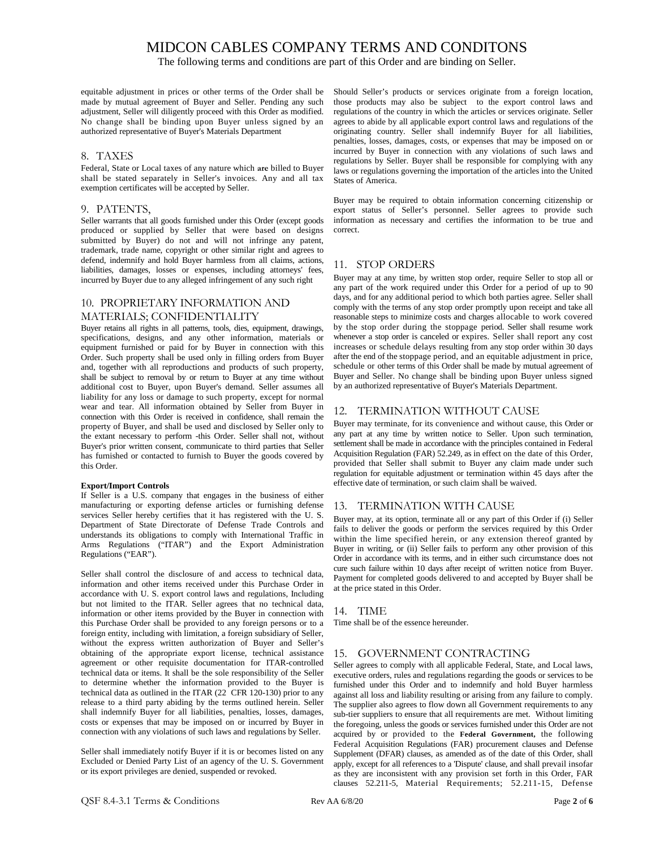The following terms and conditions are part of this Order and are binding on Seller.

equitable adjustment in prices or other terms of the Order shall be made by mutual agreement of Buyer and Seller. Pending any such adjustment, Seller will diligently proceed with this Order as modified. No change shall be binding upon Buyer unless signed by an authorized representative of Buyer's Materials Department

#### 8. TAXES

Federal, State or Local taxes of any nature which **are** billed to Buyer shall be stated separately in Seller's invoices. Any and all tax exemption certificates will be accepted by Seller.

#### 9. PATENTS,

Seller warrants that all goods furnished under this Order (except goods produced or supplied by Seller that were based on designs submitted by Buyer) do not and will not infringe any patent, trademark, trade name, copyright or other similar right and agrees to defend, indemnify and hold Buyer harmless from all claims, actions, liabilities, damages, losses or expenses, including attorneys' fees, incurred by Buyer due to any alleged infringement of any such right

#### 10. PROPRIETARY INFORMATION AND

#### MATERIALS; CONFIDENTIALITY

Buyer retains all rights in all patterns, tools, dies, equipment, drawings, specifications, designs, and any other information, materials or equipment furnished or paid for by Buyer in connection with this Order. Such property shall be used only in filling orders from Buyer and, together with all reproductions and products of such property, shall be subject to removal by or return to Buyer at any time without additional cost to Buyer, upon Buyer's demand. Seller assumes all liability for any loss or damage to such property, except for normal wear and tear. All information obtained by Seller from Buyer in connection with this Order is received in confidence, shall remain the property of Buyer, and shall be used and disclosed by Seller only to the extant necessary to perform -this Order. Seller shall not, without Buyer's prior written consent, communicate to third parties that Seller has furnished or contacted to furnish to Buyer the goods covered by this Order.

#### **Export/Import Controls**

If Seller is a U.S. company that engages in the business of either manufacturing or exporting defense articles or furnishing defense services Seller hereby certifies that it has registered with the U. S. Department of State Directorate of Defense Trade Controls and understands its obligations to comply with International Traffic in Arms Regulations ("ITAR") and the Export Administration Regulations ("EAR").

Seller shall control the disclosure of and access to technical data, information and other items received under this Purchase Order in accordance with U. S. export control laws and regulations, Including but not limited to the ITAR. Seller agrees that no technical data, information or other items provided by the Buyer in connection with this Purchase Order shall be provided to any foreign persons or to a foreign entity, including with limitation, a foreign subsidiary of Seller, without the express written authorization of Buyer and Seller's obtaining of the appropriate export license, technical assistance agreement or other requisite documentation for ITAR-controlled technical data or items. It shall be the sole responsibility of the Seller to determine whether the information provided to the Buyer is technical data as outlined in the ITAR (22 CFR 120-130) prior to any release to a third party abiding by the terms outlined herein. Seller shall indemnify Buyer for all liabilities, penalties, losses, damages, costs or expenses that may be imposed on or incurred by Buyer in connection with any violations of such laws and regulations by Seller.

Seller shall immediately notify Buyer if it is or becomes listed on any Excluded or Denied Party List of an agency of the U. S. Government or its export privileges are denied, suspended or revoked.

Should Seller's products or services originate from a foreign location, those products may also be subject to the export control laws and regulations of the country in which the articles or services originate. Seller agrees to abide by all applicable export control laws and regulations of the originating country. Seller shall indemnify Buyer for all liabilities, penalties, losses, damages, costs, or expenses that may be imposed on or incurred by Buyer in connection with any violations of such laws and regulations by Seller. Buyer shall be responsible for complying with any laws or regulations governing the importation of the articles into the United States of America.

Buyer may be required to obtain information concerning citizenship or export status of Seller's personnel. Seller agrees to provide such information as necessary and certifies the information to be true and correct.

#### 11. STOP ORDERS

Buyer may at any time, by written stop order, require Seller to stop all or any part of the work required under this Order for a period of up to 90 days, and for any additional period to which both parties agree. Seller shall comply with the terms of any stop order promptly upon receipt and take all reasonable steps to minimize costs and charges allocable to work covered by the stop order during the stoppage period. Seller shall resume work whenever a stop order is canceled or expires. Seller shall report any cost increases or schedule delays resulting from any stop order within 30 days after the end of the stoppage period, and an equitable adjustment in price, schedule or other terms of this Order shall be made by mutual agreement of Buyer and Seller. No change shall be binding upon Buyer unless signed by an authorized representative of Buyer's Materials Department.

#### 12. TERMINATION WITHOUT CAUSE

Buyer may terminate, for its convenience and without cause, this Order or any part at any time by written notice to Seller. Upon such termination, settlement shall be made in accordance with the principles contained in Federal Acquisition Regulation (FAR) 52.249, as in effect on the date of this Order, provided that Seller shall submit to Buyer any claim made under such regulation for equitable adjustment or termination within 45 days after the effective date of termination, or such claim shall be waived.

#### 13. TERMINATION WITH CAUSE

Buyer may, at its option, terminate all or any part of this Order if (i) Seller fails to deliver the goods or perform the services required by this Order within the lime specified herein, or any extension thereof granted by Buyer in writing, or (ii) Seller fails to perform any other provision of this Order in accordance with its terms, and in either such circumstance does not cure such failure within 10 days after receipt of written notice from Buyer. Payment for completed goods delivered to and accepted by Buyer shall be at the price stated in this Order.

#### 14. TIME

Time shall be of the essence hereunder.

### 15. GOVERNMENT CONTRACTING

Seller agrees to comply with all applicable Federal, State, and Local laws, executive orders, rules and regulations regarding the goods or services to be furnished under this Order and to indemnify and hold Buyer harmless against all loss and liability resulting or arising from any failure to comply. The supplier also agrees to flow down all Government requirements to any sub-tier suppliers to ensure that all requirements are met. Without limiting the foregoing, unless the goods or services furnished under this Order are not acquired by or provided to the **Federal Government,** the following Federal Acquisition Regulations (FAR) procurement clauses and Defense Supplement (DFAR) clauses, as amended as of the date of this Order, shall apply, except for all references to a 'Dispute' clause, and shall prevail insofar as they are inconsistent with any provision set forth in this Order, FAR clauses 52.211-5, Material Requirements; 52.211-15, Defense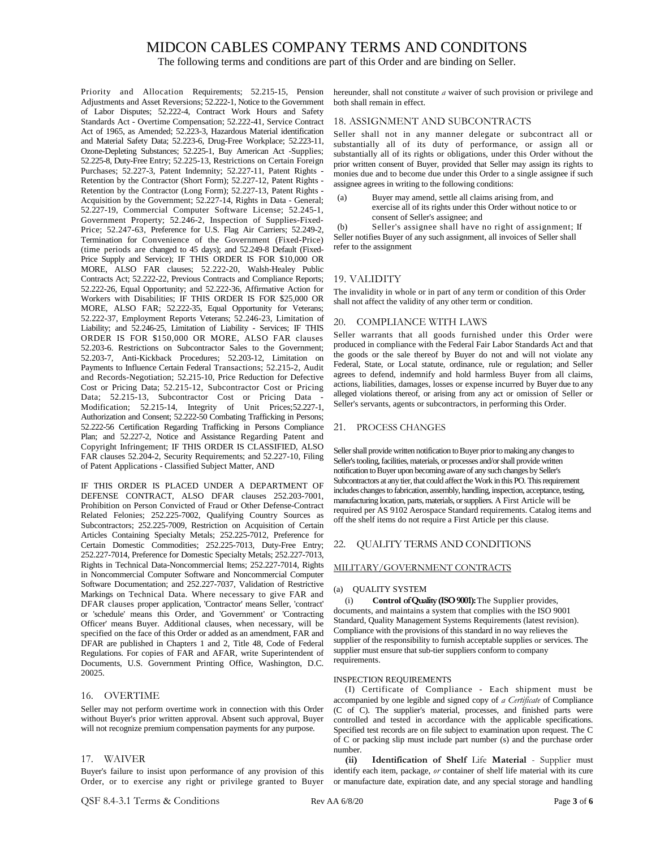The following terms and conditions are part of this Order and are binding on Seller.

Priority and Allocation Requirements; 52.215-15, Pension Adjustments and Asset Reversions; 52.222-1, Notice to the Government of Labor Disputes; 52.222-4, Contract Work Hours and Safety Standards Act - Overtime Compensation; 52.222-41, Service Contract Act of 1965, as Amended; 52.223-3, Hazardous Material identification and Material Safety Data; 52.223-6, Drug-Free Workplace; 52.223-11, Ozone-Depleting Substances; 52.225-1, Buy American Act -Supplies; 52.225-8, Duty-Free Entry; 52.225-13, Restrictions on Certain Foreign Purchases; 52.227-3, Patent Indemnity; 52.227-11, Patent Rights - Retention by the Contractor (Short Form); 52.227-12, Patent Rights - Retention by the Contractor (Long Form); 52.227-13, Patent Rights - (and a contractor of the Contractor of the Contractor) (a) Acquisition by the Government; 52.227-14, Rights in Data - General; 52.227-19, Commercial Computer Software License; 52.245-1, Government Property; 52.246-2, Inspection of Supplies-Fixed-Price; 52.247-63, Preference for U.S. Flag Air Carriers; 52.249-2, Termination for Convenience of the Government (Fixed-Price) (time periods are changed to 45 days); and 52.249-8 Default (Fixed-Price Supply and Service); IF THIS ORDER IS FOR \$10,000 OR MORE, ALSO FAR clauses; 52.222-20, Walsh-Healey Public Contracts Act; 52.222-22, Previous Contracts and Compliance Reports; 52.222-26, Equal Opportunity; and 52.222-36, Affirmative Action for Workers with Disabilities; IF THIS ORDER IS FOR \$25,000 OR MORE, ALSO FAR; 52.222-35, Equal Opportunity for Veterans; 52.222-37, Employment Reports Veterans; 52.246-23, Limitation of Liability; and 52.246-25, Limitation of Liability - Services; IF THIS ORDER IS FOR \$150,000 OR MORE, ALSO FAR clauses 52.203-6. Restrictions on Subcontractor Sales to the Government; 52.203-7, Anti-Kickback Procedures; 52.203-12, Limitation on Payments to Influence Certain Federal Transactions; 52.215-2, Audit and Records-Negotiation; 52.215-10, Price Reduction for Defective Cost or Pricing Data; 52.215-12, Subcontractor Cost or Pricing Data; 52.215-13, Subcontractor Cost or Pricing Data - Modification; 52.215-14, Integrity of Unit Prices;52.227-1, Authorization and Consent; 52.222-50 Combating Trafficking in Persons; 52.222-56 Certification Regarding Trafficking in Persons Compliance Plan; and 52.227-2, Notice and Assistance Regarding Patent and Copyright Infringement; IF THIS ORDER IS CLASSIFIED, ALSO FAR clauses 52.204-2, Security Requirements; and 52.227-10, Filing of Patent Applications - Classified Subject Matter, AND

IF THIS ORDER IS PLACED UNDER A DEPARTMENT OF DEFENSE CONTRACT, ALSO DFAR clauses 252.203-7001, Prohibition on Person Convicted of Fraud or Other Defense-Contract Related Felonies; 252.225-7002, Qualifying Country Sources as Subcontractors; 252.225-7009, Restriction on Acquisition of Certain Articles Containing Specialty Metals; 252.225-7012, Preference for Certain Domestic Commodities; 252.225-7013, Duty-Free Entry; 252.227-7014, Preference for Domestic Specialty Metals; 252.227-7013, Rights in Technical Data-Noncommercial Items; 252.227-7014, Rights in Noncommercial Computer Software and Noncommercial Computer Software Documentation; and 252.227-7037, Validation of Restrictive Markings on Technical Data. Where necessary to give FAR and DFAR clauses proper application, 'Contractor' means Seller, 'contract' or 'schedule' means this Order, and 'Government' or 'Contracting Officer' means Buyer. Additional clauses, when necessary, will be specified on the face of this Order or added as an amendment, FAR and DFAR are published in Chapters 1 and 2, Title 48, Code of Federal Regulations. For copies of FAR and AFAR, write Superintendent of Documents, U.S. Government Printing Office, Washington, D.C. 20025.

#### 16. OVERTIME

Seller may not perform overtime work in connection with this Order without Buyer's prior written approval. Absent such approval, Buyer will not recognize premium compensation payments for any purpose.

#### 17. WAIVER

Buyer's failure to insist upon performance of any provision of this Order, or to exercise any right or privilege granted to Buyer

hereunder, shall not constitute *a* waiver of such provision or privilege and both shall remain in effect.

#### 18. ASSIGNMENT AND SUBCONTRACTS

Seller shall not in any manner delegate or subcontract all or substantially all of its duty of performance, or assign all or substantially all of its rights or obligations, under this Order without the prior written consent of Buyer, provided that Seller may assign its rights to monies due and to become due under this Order to a single assignee if such assignee agrees in writing to the following conditions:

Buyer may amend, settle all claims arising from, and exercise all of its rights under this Order without notice to or consent of Seller's assignee; and

(b) Seller's assignee shall have no right of assignment; If Seller notifies Buyer of any such assignment, all invoices of Seller shall refer to the assignment

#### 19. VALIDITY

The invalidity in whole or in part of any term or condition of this Order shall not affect the validity of any other term or condition.

#### 20. COMPLIANCE WITH LAWS

Seller warrants that all goods furnished under this Order were produced in compliance with the Federal Fair Labor Standards Act and that the goods or the sale thereof by Buyer do not and will not violate any Federal, State, or Local statute, ordinance, rule or regulation; and Seller agrees to defend, indemnify and hold harmless Buyer from all claims, actions, liabilities, damages, losses or expense incurred by Buyer due to any alleged violations thereof, or arising from any act or omission of Seller or Seller's servants, agents or subcontractors, in performing this Order.

#### 21. PROCESS CHANGES

Seller shall provide written notification to Buyer prior to making any changes to Seller's tooling, facilities, materials, or processes and/or shall provide written notification to Buyer upon becoming aware of any such changes by Seller's Subcontractors at any tier, that could affect the Work in this PO. This requirement includes changes to fabrication, assembly, handling, inspection, acceptance, testing, manufacturing location, parts, materials, or suppliers. A First Article will be required per AS 9102 Aerospace Standard requirements. Catalog items and off the shelf items do not require a First Article per this clause.

#### 22. QUALITY TERMS AND CONDITIONS

#### MILITARY/GOVERNMENT CONTRACTS

#### (a) QUALITY SYSTEM

(i) **Control ofQuality(ISO9001):**The Supplier provides, documents, and maintains a system that complies with the ISO 9001 Standard, Quality Management Systems Requirements (latest revision). Compliance with the provisions of this standard in no way relieves the supplier of the responsibility to furnish acceptable supplies or services. The supplier must ensure that sub-tier suppliers conform to company requirements.

#### INSPECTION REQUIREMENTS

(I) Certificate of Compliance - Each shipment must be accompanied by one legible and signed copy of *a Certificate* of Compliance (C of C). The supplier's material, processes, and finished parts were controlled and tested in accordance with the applicable specifications. Specified test records are on file subject to examination upon request. The C of C or packing slip must include part number (s) and the purchase order number.

**(ii) Identification of Shelf** Life **Material** - Supplier must identify each item, package, *or* container of shelf life material with its cure or manufacture date, expiration date, and any special storage and handling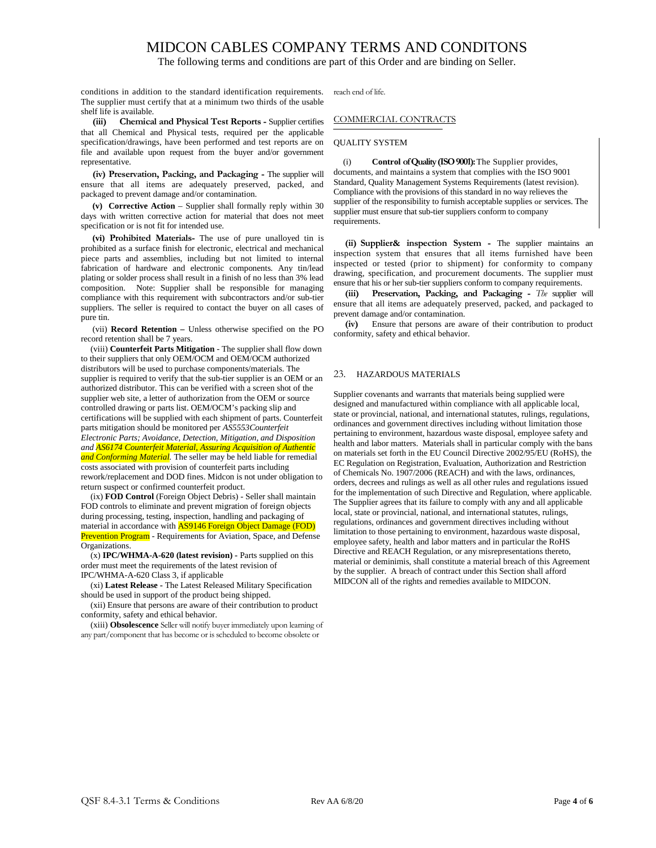The following terms and conditions are part of this Order and are binding on Seller.

conditions in addition to the standard identification requirements. The supplier must certify that at a minimum two thirds of the usable shelf life is available.

**(iii) Chemical and Physical Test Reports -** Supplier certifies that all Chemical and Physical tests, required per the applicable specification/drawings, have been performed and test reports are on file and available upon request from the buyer and/or government representative.

**(iv) Preservation, Packing, and Packaging -** The supplier will ensure that all items are adequately preserved, packed, and packaged to prevent damage and/or contamination.

**(v) Corrective Action** – Supplier shall formally reply within 30 days with written corrective action for material that does not meet specification or is not fit for intended use.

**(vi) Prohibited Materials-** The use of pure unalloyed tin is prohibited as a surface finish for electronic, electrical and mechanical piece parts and assemblies, including but not limited to internal fabrication of hardware and electronic components. Any tin/lead plating or solder process shall result in a finish of no less than 3% lead composition. Note: Supplier shall be responsible for managing compliance with this requirement with subcontractors and/or sub-tier suppliers. The seller is required to contact the buyer on all cases of pure tin.

(vii) **Record Retention –** Unless otherwise specified on the PO record retention shall be 7 years.

(viii) **Counterfeit Parts Mitigation** - The supplier shall flow down to their suppliers that only OEM/OCM and OEM/OCM authorized distributors will be used to purchase components/materials. The supplier is required to verify that the sub-tier supplier is an OEM or an authorized distributor. This can be verified with a screen shot of the supplier web site, a letter of authorization from the OEM or source controlled drawing or parts list. OEM/OCM's packing slip and certifications will be supplied with each shipment of parts. Counterfeit parts mitigation should be monitored per *AS5553Counterfeit Electronic Parts; Avoidance, Detection, Mitigation, and Disposition and AS6174 Counterfeit Material, Assuring Acquisition of Authentic and Conforming Material.* The seller may be held liable for remedial costs associated with provision of counterfeit parts including rework/replacement and DOD fines. Midcon is not under obligation to return suspect or confirmed counterfeit product.

(ix) **FOD Control** (Foreign Object Debris) - Seller shall maintain FOD controls to eliminate and prevent migration of foreign objects during processing, testing, inspection, handling and packaging of material in accordance with **AS9146 Foreign Object Damage (FOD)** Prevention Program - Requirements for Aviation, Space, and Defense Organizations.

(x) **IPC/WHMA-A-620 (latest revision) -** Parts supplied on this order must meet the requirements of the latest revision of IPC/WHMA-A-620 Class 3, if applicable

(xi) **Latest Release -** The Latest Released Military Specification should be used in support of the product being shipped.

(xii) Ensure that persons are aware of their contribution to product conformity, safety and ethical behavior.

(xiii) **Obsolescence** Seller will notify buyer immediately upon learning of any part/component that has become or is scheduled to become obsolete or

reach end of life.

#### COMMERCIAL CONTRACTS

#### QUALITY SYSTEM

(i) **Control ofQuality(ISO9001):**The Supplier provides, documents, and maintains a system that complies with the ISO 9001 Standard, Quality Management Systems Requirements (latest revision). Compliance with the provisions of this standard in no way relieves the supplier of the responsibility to furnish acceptable supplies or services. The supplier must ensure that sub-tier suppliers conform to company requirements.

**(ii) Supplier& inspection System -** The supplier maintains an inspection system that ensures that all items furnished have been inspected or tested (prior to shipment) for conformity to company drawing, specification, and procurement documents. The supplier must ensure that his or her sub-tier suppliers conform to company requirements.

**(iii) Preservation, Packing, and Packaging -** *The* supplier will ensure that all items are adequately preserved, packed, and packaged to prevent damage and/or contamination.

**(iv)** Ensure that persons are aware of their contribution to product conformity, safety and ethical behavior.

#### 23. HAZARDOUS MATERIALS

Supplier covenants and warrants that materials being supplied were designed and manufactured within compliance with all applicable local, state or provincial, national, and international statutes, rulings, regulations, ordinances and government directives including without limitation those pertaining to environment, hazardous waste disposal, employee safety and health and labor matters. Materials shall in particular comply with the bans on materials set forth in the EU Council Directive 2002/95/EU (RoHS), the EC Regulation on Registration, Evaluation, Authorization and Restriction of Chemicals No. 1907/2006 (REACH) and with the laws, ordinances, orders, decrees and rulings as well as all other rules and regulations issued for the implementation of such Directive and Regulation, where applicable. The Supplier agrees that its failure to comply with any and all applicable local, state or provincial, national, and international statutes, rulings, regulations, ordinances and government directives including without limitation to those pertaining to environment, hazardous waste disposal, employee safety, health and labor matters and in particular the RoHS Directive and REACH Regulation, or any misrepresentations thereto, material or deminimis, shall constitute a material breach of this Agreement by the supplier. A breach of contract under this Section shall afford MIDCON all of the rights and remedies available to MIDCON.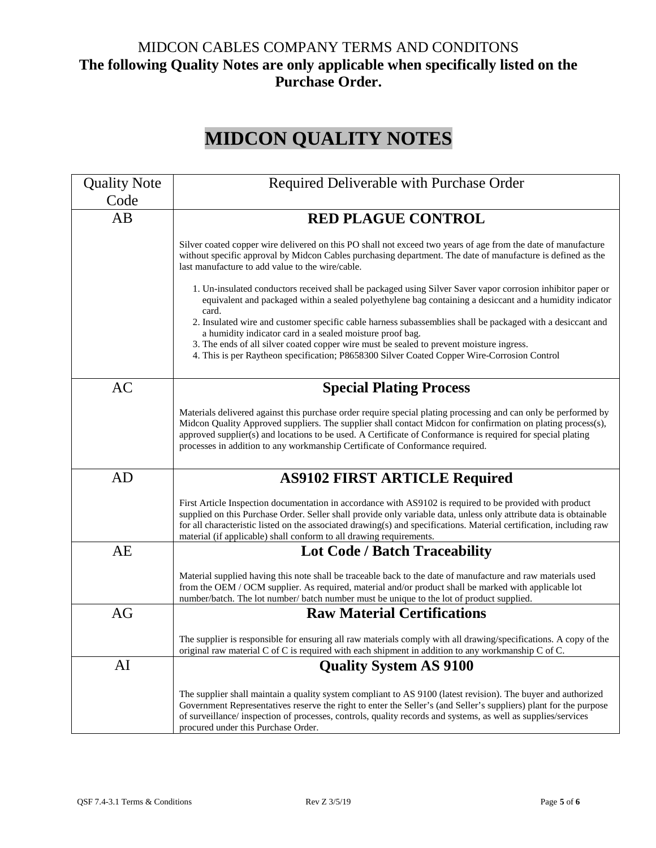# MIDCON CABLES COMPANY TERMS AND CONDITONS **The following Quality Notes are only applicable when specifically listed on the Purchase Order.**

# **MIDCON QUALITY NOTES**

| <b>Quality Note</b> | Required Deliverable with Purchase Order                                                                                                                                                                                                                                                                                                                                                                                                                                                                                                                                                                                                                                                                                                                                                                                                                                                   |
|---------------------|--------------------------------------------------------------------------------------------------------------------------------------------------------------------------------------------------------------------------------------------------------------------------------------------------------------------------------------------------------------------------------------------------------------------------------------------------------------------------------------------------------------------------------------------------------------------------------------------------------------------------------------------------------------------------------------------------------------------------------------------------------------------------------------------------------------------------------------------------------------------------------------------|
| Code                |                                                                                                                                                                                                                                                                                                                                                                                                                                                                                                                                                                                                                                                                                                                                                                                                                                                                                            |
| AB                  | <b>RED PLAGUE CONTROL</b>                                                                                                                                                                                                                                                                                                                                                                                                                                                                                                                                                                                                                                                                                                                                                                                                                                                                  |
|                     | Silver coated copper wire delivered on this PO shall not exceed two years of age from the date of manufacture<br>without specific approval by Midcon Cables purchasing department. The date of manufacture is defined as the<br>last manufacture to add value to the wire/cable.<br>1. Un-insulated conductors received shall be packaged using Silver Saver vapor corrosion inhibitor paper or<br>equivalent and packaged within a sealed polyethylene bag containing a desiccant and a humidity indicator<br>card.<br>2. Insulated wire and customer specific cable harness subassemblies shall be packaged with a desiccant and<br>a humidity indicator card in a sealed moisture proof bag.<br>3. The ends of all silver coated copper wire must be sealed to prevent moisture ingress.<br>4. This is per Raytheon specification; P8658300 Silver Coated Copper Wire-Corrosion Control |
| <b>AC</b>           | <b>Special Plating Process</b>                                                                                                                                                                                                                                                                                                                                                                                                                                                                                                                                                                                                                                                                                                                                                                                                                                                             |
|                     | Materials delivered against this purchase order require special plating processing and can only be performed by<br>Midcon Quality Approved suppliers. The supplier shall contact Midcon for confirmation on plating process(s),<br>approved supplier(s) and locations to be used. A Certificate of Conformance is required for special plating<br>processes in addition to any workmanship Certificate of Conformance required.                                                                                                                                                                                                                                                                                                                                                                                                                                                            |
| AD                  | <b>AS9102 FIRST ARTICLE Required</b>                                                                                                                                                                                                                                                                                                                                                                                                                                                                                                                                                                                                                                                                                                                                                                                                                                                       |
|                     | First Article Inspection documentation in accordance with AS9102 is required to be provided with product<br>supplied on this Purchase Order. Seller shall provide only variable data, unless only attribute data is obtainable<br>for all characteristic listed on the associated drawing(s) and specifications. Material certification, including raw<br>material (if applicable) shall conform to all drawing requirements.                                                                                                                                                                                                                                                                                                                                                                                                                                                              |
| <b>AE</b>           | <b>Lot Code / Batch Traceability</b>                                                                                                                                                                                                                                                                                                                                                                                                                                                                                                                                                                                                                                                                                                                                                                                                                                                       |
|                     | Material supplied having this note shall be traceable back to the date of manufacture and raw materials used<br>from the OEM / OCM supplier. As required, material and/or product shall be marked with applicable lot<br>number/batch. The lot number/ batch number must be unique to the lot of product supplied.                                                                                                                                                                                                                                                                                                                                                                                                                                                                                                                                                                         |
| AG                  | <b>Raw Material Certifications</b>                                                                                                                                                                                                                                                                                                                                                                                                                                                                                                                                                                                                                                                                                                                                                                                                                                                         |
|                     | The supplier is responsible for ensuring all raw materials comply with all drawing/specifications. A copy of the<br>original raw material C of C is required with each shipment in addition to any workmanship C of C.                                                                                                                                                                                                                                                                                                                                                                                                                                                                                                                                                                                                                                                                     |
| AI                  | <b>Quality System AS 9100</b>                                                                                                                                                                                                                                                                                                                                                                                                                                                                                                                                                                                                                                                                                                                                                                                                                                                              |
|                     | The supplier shall maintain a quality system compliant to AS 9100 (latest revision). The buyer and authorized<br>Government Representatives reserve the right to enter the Seller's (and Seller's suppliers) plant for the purpose<br>of surveillance/inspection of processes, controls, quality records and systems, as well as supplies/services<br>procured under this Purchase Order.                                                                                                                                                                                                                                                                                                                                                                                                                                                                                                  |